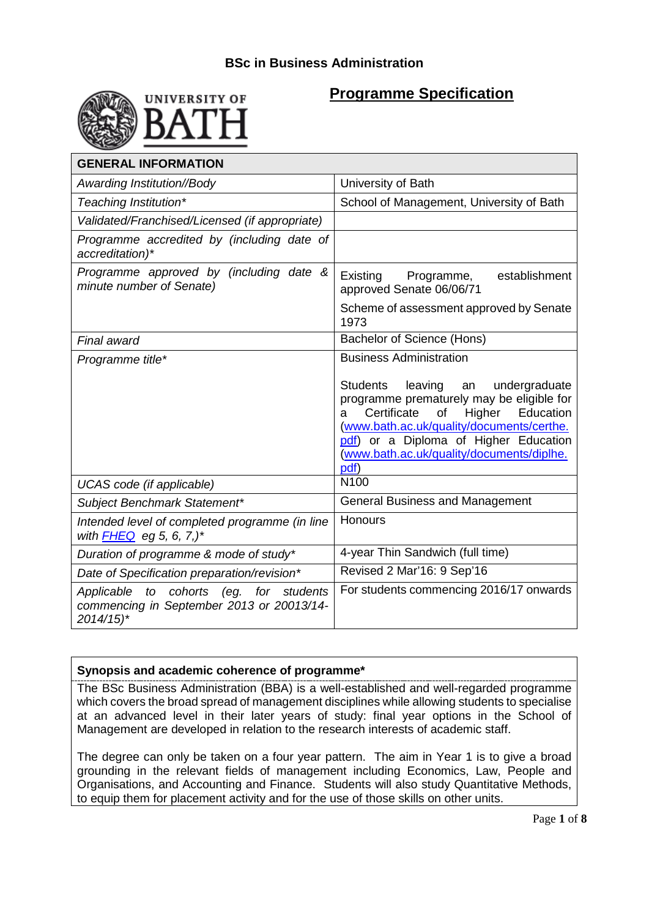

# **Programme Specification**

| <b>GENERAL INFORMATION</b>                                                                                     |                                                                                                                                                                                                                                                                                            |  |  |
|----------------------------------------------------------------------------------------------------------------|--------------------------------------------------------------------------------------------------------------------------------------------------------------------------------------------------------------------------------------------------------------------------------------------|--|--|
| Awarding Institution//Body                                                                                     | University of Bath                                                                                                                                                                                                                                                                         |  |  |
| Teaching Institution*                                                                                          | School of Management, University of Bath                                                                                                                                                                                                                                                   |  |  |
| Validated/Franchised/Licensed (if appropriate)                                                                 |                                                                                                                                                                                                                                                                                            |  |  |
| Programme accredited by (including date of<br>accreditation)*                                                  |                                                                                                                                                                                                                                                                                            |  |  |
| Programme approved by (including date &<br>minute number of Senate)                                            | establishment<br>Existing<br>Programme,<br>approved Senate 06/06/71                                                                                                                                                                                                                        |  |  |
|                                                                                                                | Scheme of assessment approved by Senate<br>1973                                                                                                                                                                                                                                            |  |  |
| Final award                                                                                                    | Bachelor of Science (Hons)                                                                                                                                                                                                                                                                 |  |  |
| Programme title*                                                                                               | <b>Business Administration</b>                                                                                                                                                                                                                                                             |  |  |
|                                                                                                                | Students<br>leaving<br>undergraduate<br>an<br>programme prematurely may be eligible for<br>Certificate<br>$\circ$ f<br>Education<br>Higher<br>a<br>(www.bath.ac.uk/quality/documents/certhe.<br>pdf) or a Diploma of Higher Education<br>(www.bath.ac.uk/quality/documents/diplhe.<br>pdf) |  |  |
| UCAS code (if applicable)                                                                                      | N <sub>100</sub>                                                                                                                                                                                                                                                                           |  |  |
| Subject Benchmark Statement*                                                                                   | <b>General Business and Management</b>                                                                                                                                                                                                                                                     |  |  |
| Intended level of completed programme (in line<br>with <b>FHEQ</b> eg 5, 6, 7,)*                               | Honours                                                                                                                                                                                                                                                                                    |  |  |
| Duration of programme & mode of study*                                                                         | 4-year Thin Sandwich (full time)                                                                                                                                                                                                                                                           |  |  |
| Date of Specification preparation/revision*                                                                    | Revised 2 Mar'16: 9 Sep'16                                                                                                                                                                                                                                                                 |  |  |
| Applicable to cohorts (eg. for students<br>commencing in September 2013 or 20013/14-<br>$2014/15$ <sup>*</sup> | For students commencing 2016/17 onwards                                                                                                                                                                                                                                                    |  |  |

### **Synopsis and academic coherence of programme\***

The BSc Business Administration (BBA) is a well-established and well-regarded programme which covers the broad spread of management disciplines while allowing students to specialise at an advanced level in their later years of study: final year options in the School of Management are developed in relation to the research interests of academic staff.

The degree can only be taken on a four year pattern. The aim in Year 1 is to give a broad grounding in the relevant fields of management including Economics, Law, People and Organisations, and Accounting and Finance. Students will also study Quantitative Methods, to equip them for placement activity and for the use of those skills on other units.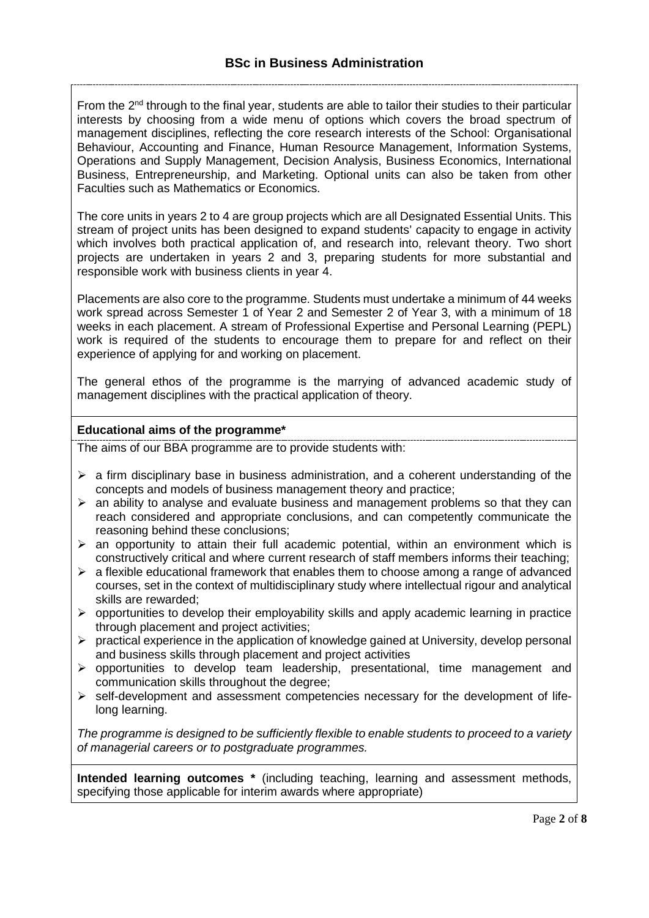From the  $2<sup>nd</sup>$  through to the final year, students are able to tailor their studies to their particular interests by choosing from a wide menu of options which covers the broad spectrum of management disciplines, reflecting the core research interests of the School: Organisational Behaviour, Accounting and Finance, Human Resource Management, Information Systems, Operations and Supply Management, Decision Analysis, Business Economics, International Business, Entrepreneurship, and Marketing. Optional units can also be taken from other Faculties such as Mathematics or Economics.

The core units in years 2 to 4 are group projects which are all Designated Essential Units. This stream of project units has been designed to expand students' capacity to engage in activity which involves both practical application of, and research into, relevant theory. Two short projects are undertaken in years 2 and 3, preparing students for more substantial and responsible work with business clients in year 4.

Placements are also core to the programme. Students must undertake a minimum of 44 weeks work spread across Semester 1 of Year 2 and Semester 2 of Year 3, with a minimum of 18 weeks in each placement. A stream of Professional Expertise and Personal Learning (PEPL) work is required of the students to encourage them to prepare for and reflect on their experience of applying for and working on placement.

The general ethos of the programme is the marrying of advanced academic study of management disciplines with the practical application of theory.

### **Educational aims of the programme\***

The aims of our BBA programme are to provide students with:

- $\triangleright$  a firm disciplinary base in business administration, and a coherent understanding of the concepts and models of business management theory and practice;
- $\triangleright$  an ability to analyse and evaluate business and management problems so that they can reach considered and appropriate conclusions, and can competently communicate the reasoning behind these conclusions;
- $\triangleright$  an opportunity to attain their full academic potential, within an environment which is constructively critical and where current research of staff members informs their teaching;
- $\triangleright$  a flexible educational framework that enables them to choose among a range of advanced courses, set in the context of multidisciplinary study where intellectual rigour and analytical skills are rewarded;
- $\triangleright$  opportunities to develop their employability skills and apply academic learning in practice through placement and project activities;
- $\triangleright$  practical experience in the application of knowledge gained at University, develop personal and business skills through placement and project activities
- $\triangleright$  opportunities to develop team leadership, presentational, time management and communication skills throughout the degree;
- $\triangleright$  self-development and assessment competencies necessary for the development of lifelong learning.

*The programme is designed to be sufficiently flexible to enable students to proceed to a variety of managerial careers or to postgraduate programmes.*

**Intended learning outcomes \*** (including teaching, learning and assessment methods, specifying those applicable for interim awards where appropriate)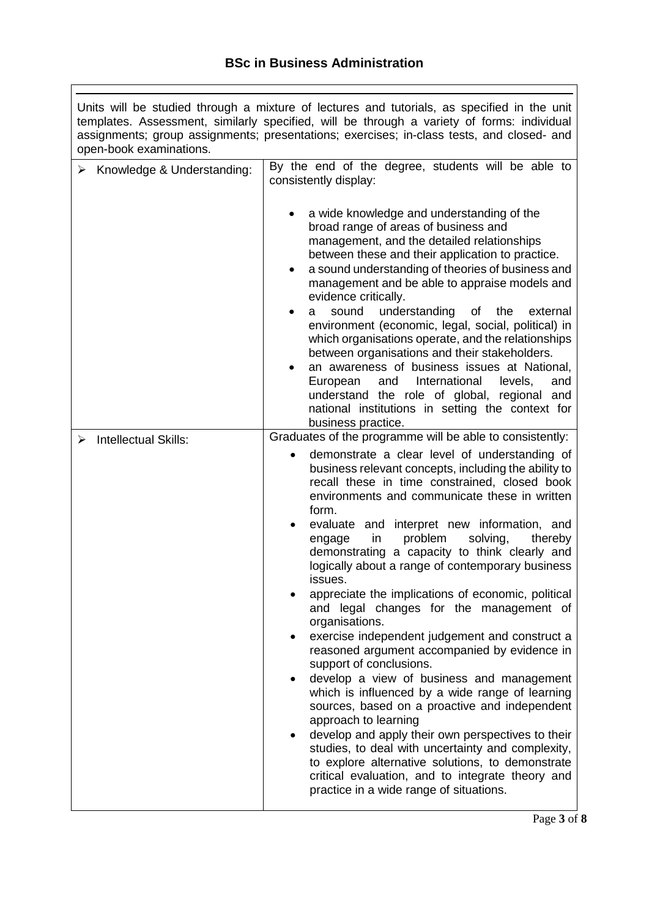Units will be studied through a mixture of lectures and tutorials, as specified in the unit templates. Assessment, similarly specified, will be through a variety of forms: individual assignments; group assignments; presentations; exercises; in-class tests, and closed- and open-book examinations.

| Knowledge & Understanding:  | By the end of the degree, students will be able to<br>consistently display:                                                                                                                                                                                                                                                                                                                                                                                                                                                                                                                                                                                                                                                                                                                                                                                                                                                                                                                                                                                                                                             |
|-----------------------------|-------------------------------------------------------------------------------------------------------------------------------------------------------------------------------------------------------------------------------------------------------------------------------------------------------------------------------------------------------------------------------------------------------------------------------------------------------------------------------------------------------------------------------------------------------------------------------------------------------------------------------------------------------------------------------------------------------------------------------------------------------------------------------------------------------------------------------------------------------------------------------------------------------------------------------------------------------------------------------------------------------------------------------------------------------------------------------------------------------------------------|
|                             | a wide knowledge and understanding of the<br>broad range of areas of business and<br>management, and the detailed relationships<br>between these and their application to practice.<br>a sound understanding of theories of business and<br>management and be able to appraise models and<br>evidence critically.<br>understanding<br>sound<br>the<br>external<br>of<br>a<br>٠<br>environment (economic, legal, social, political) in<br>which organisations operate, and the relationships<br>between organisations and their stakeholders.<br>an awareness of business issues at National,<br>International<br>levels,<br>European<br>and<br>and<br>understand the role of global, regional and<br>national institutions in setting the context for<br>business practice.                                                                                                                                                                                                                                                                                                                                             |
| <b>Intellectual Skills:</b> | Graduates of the programme will be able to consistently:                                                                                                                                                                                                                                                                                                                                                                                                                                                                                                                                                                                                                                                                                                                                                                                                                                                                                                                                                                                                                                                                |
|                             | demonstrate a clear level of understanding of<br>business relevant concepts, including the ability to<br>recall these in time constrained, closed book<br>environments and communicate these in written<br>form.<br>evaluate and interpret new information, and<br>in<br>problem<br>solving,<br>thereby<br>engage<br>demonstrating a capacity to think clearly and<br>logically about a range of contemporary business<br>issues.<br>appreciate the implications of economic, political<br>and legal changes for the management of<br>organisations.<br>exercise independent judgement and construct a<br>reasoned argument accompanied by evidence in<br>support of conclusions.<br>develop a view of business and management<br>which is influenced by a wide range of learning<br>sources, based on a proactive and independent<br>approach to learning<br>develop and apply their own perspectives to their<br>studies, to deal with uncertainty and complexity,<br>to explore alternative solutions, to demonstrate<br>critical evaluation, and to integrate theory and<br>practice in a wide range of situations. |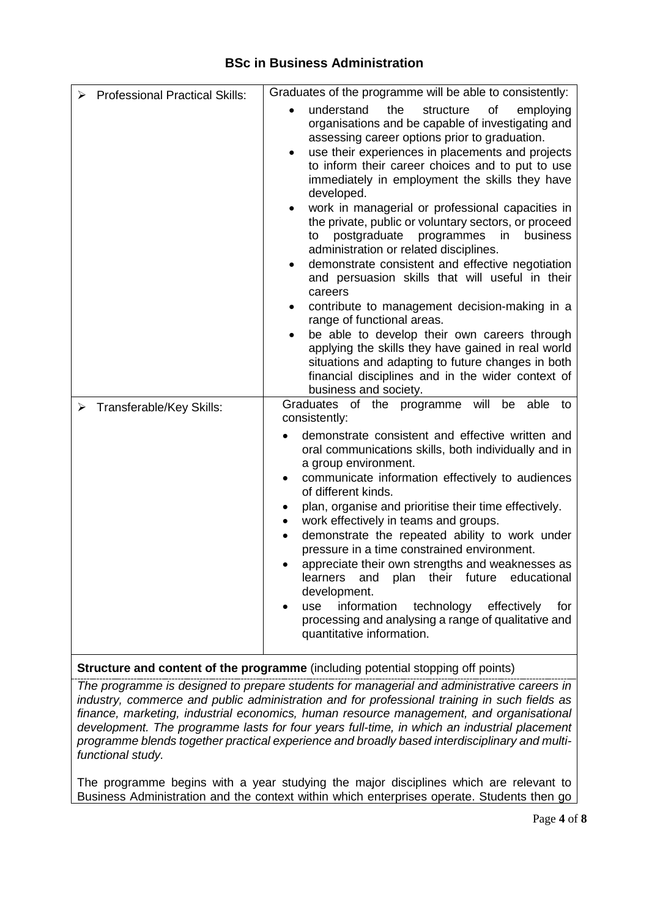| <b>Professional Practical Skills:</b>     | Graduates of the programme will be able to consistently:                                                                                                                                                                                                                                                                                                                                                                                                                                                                                                                                                                                                                                                                                                                                                                                                                                                                                                                                        |
|-------------------------------------------|-------------------------------------------------------------------------------------------------------------------------------------------------------------------------------------------------------------------------------------------------------------------------------------------------------------------------------------------------------------------------------------------------------------------------------------------------------------------------------------------------------------------------------------------------------------------------------------------------------------------------------------------------------------------------------------------------------------------------------------------------------------------------------------------------------------------------------------------------------------------------------------------------------------------------------------------------------------------------------------------------|
|                                           | understand<br>the<br>structure<br>οf<br>employing<br>organisations and be capable of investigating and<br>assessing career options prior to graduation.<br>use their experiences in placements and projects<br>to inform their career choices and to put to use<br>immediately in employment the skills they have<br>developed.<br>work in managerial or professional capacities in<br>٠<br>the private, public or voluntary sectors, or proceed<br>postgraduate<br>programmes<br>in<br>business<br>to<br>administration or related disciplines.<br>demonstrate consistent and effective negotiation<br>and persuasion skills that will useful in their<br>careers<br>contribute to management decision-making in a<br>٠<br>range of functional areas.<br>be able to develop their own careers through<br>applying the skills they have gained in real world<br>situations and adapting to future changes in both<br>financial disciplines and in the wider context of<br>business and society. |
| $\triangleright$ Transferable/Key Skills: | Graduates of the programme<br>will<br>able<br>be<br>to<br>consistently:<br>demonstrate consistent and effective written and<br>oral communications skills, both individually and in<br>a group environment.<br>communicate information effectively to audiences<br>$\bullet$<br>of different kinds.<br>plan, organise and prioritise their time effectively.<br>٠<br>work effectively in teams and groups.<br>٠<br>demonstrate the repeated ability to work under<br>٠<br>pressure in a time constrained environment.<br>appreciate their own strengths and weaknesses as<br>plan their future<br>educational<br>learners<br>and<br>development.<br>information<br>technology effectively<br>use<br>for<br>processing and analysing a range of qualitative and<br>quantitative information.                                                                                                                                                                                                     |

# **Structure and content of the programme** (including potential stopping off points)

*The programme is designed to prepare students for managerial and administrative careers in industry, commerce and public administration and for professional training in such fields as finance, marketing, industrial economics, human resource management, and organisational development. The programme lasts for four years full-time, in which an industrial placement programme blends together practical experience and broadly based interdisciplinary and multifunctional study.*

The programme begins with a year studying the major disciplines which are relevant to Business Administration and the context within which enterprises operate. Students then go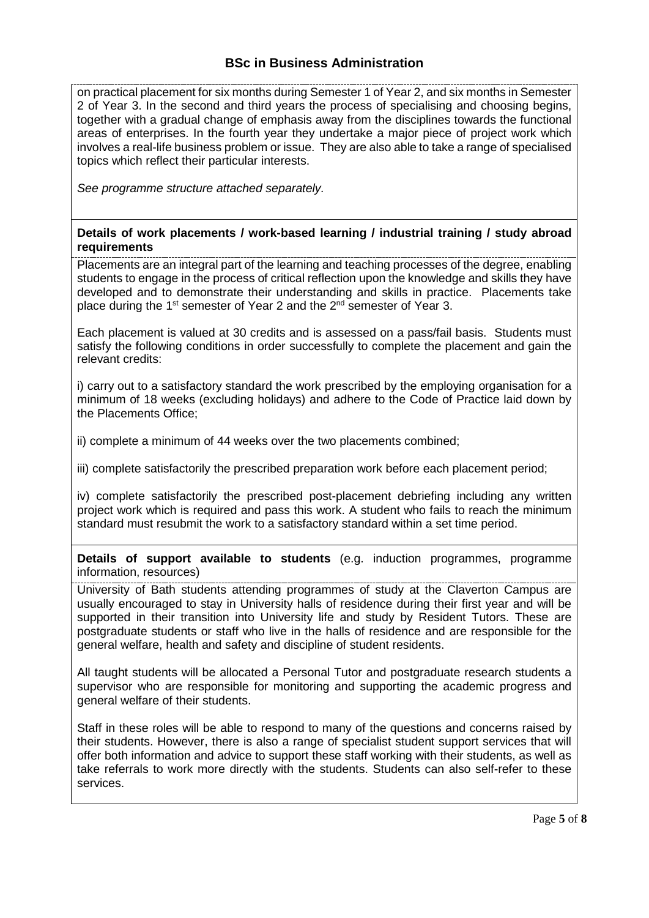on practical placement for six months during Semester 1 of Year 2, and six months in Semester 2 of Year 3. In the second and third years the process of specialising and choosing begins, together with a gradual change of emphasis away from the disciplines towards the functional areas of enterprises. In the fourth year they undertake a major piece of project work which involves a real-life business problem or issue. They are also able to take a range of specialised topics which reflect their particular interests.

*See programme structure attached separately.* 

#### **Details of work placements / work-based learning / industrial training / study abroad requirements**

Placements are an integral part of the learning and teaching processes of the degree, enabling students to engage in the process of critical reflection upon the knowledge and skills they have developed and to demonstrate their understanding and skills in practice. Placements take place during the 1<sup>st</sup> semester of Year 2 and the 2<sup>nd</sup> semester of Year 3.

Each placement is valued at 30 credits and is assessed on a pass/fail basis. Students must satisfy the following conditions in order successfully to complete the placement and gain the relevant credits:

i) carry out to a satisfactory standard the work prescribed by the employing organisation for a minimum of 18 weeks (excluding holidays) and adhere to the Code of Practice laid down by the Placements Office;

ii) complete a minimum of 44 weeks over the two placements combined;

iii) complete satisfactorily the prescribed preparation work before each placement period;

iv) complete satisfactorily the prescribed post-placement debriefing including any written project work which is required and pass this work. A student who fails to reach the minimum standard must resubmit the work to a satisfactory standard within a set time period.

**Details of support available to students** (e.g. induction programmes, programme information, resources)

University of Bath students attending programmes of study at the Claverton Campus are usually encouraged to stay in University halls of residence during their first year and will be supported in their transition into University life and study by Resident Tutors. These are postgraduate students or staff who live in the halls of residence and are responsible for the general welfare, health and safety and discipline of student residents.

All taught students will be allocated a Personal Tutor and postgraduate research students a supervisor who are responsible for monitoring and supporting the academic progress and general welfare of their students.

Staff in these roles will be able to respond to many of the questions and concerns raised by their students. However, there is also a range of specialist student support services that will offer both information and advice to support these staff working with their students, as well as take referrals to work more directly with the students. Students can also self-refer to these services.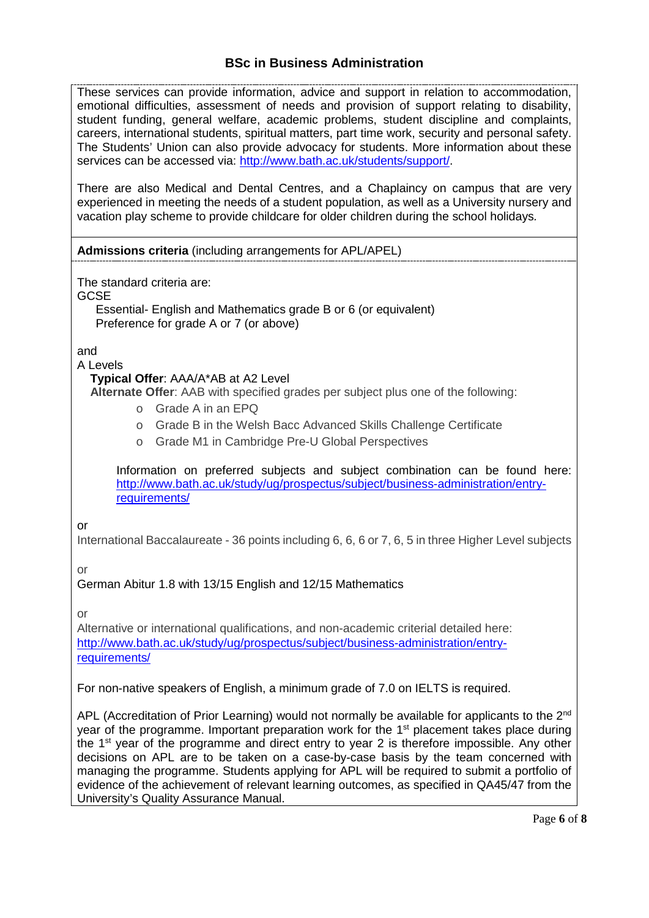These services can provide information, advice and support in relation to accommodation, emotional difficulties, assessment of needs and provision of support relating to disability, student funding, general welfare, academic problems, student discipline and complaints, careers, international students, spiritual matters, part time work, security and personal safety. The Students' Union can also provide advocacy for students. More information about these services can be accessed via: [http://www.bath.ac.uk/students/support/.](http://www.bath.ac.uk/students/support/)

There are also Medical and Dental Centres, and a Chaplaincy on campus that are very experienced in meeting the needs of a student population, as well as a University nursery and vacation play scheme to provide childcare for older children during the school holidays*.*

### **Admissions criteria** (including arrangements for APL/APEL)

The standard criteria are:

**GCSE** 

Essential- English and Mathematics grade B or 6 (or equivalent) Preference for grade A or 7 (or above)

and

### A Levels

## **Typical Offer**: AAA/A\*AB at A2 Level

**Alternate Offer**: AAB with specified grades per subject plus one of the following:

- o Grade A in an EPQ
- o Grade B in the Welsh Bacc Advanced Skills Challenge Certificate
- o Grade M1 in Cambridge Pre-U Global Perspectives

Information on preferred subjects and subject combination can be found here: [http://www.bath.ac.uk/study/ug/prospectus/subject/business-administration/entry](http://www.bath.ac.uk/study/ug/prospectus/subject/business-administration/entry-requirements/)[requirements/](http://www.bath.ac.uk/study/ug/prospectus/subject/business-administration/entry-requirements/)

or

International Baccalaureate - 36 points including 6, 6, 6 or 7, 6, 5 in three Higher Level subjects

or

## German Abitur 1.8 with 13/15 English and 12/15 Mathematics

or

Alternative or international qualifications, and non-academic criterial detailed here: [http://www.bath.ac.uk/study/ug/prospectus/subject/business-administration/entry](http://www.bath.ac.uk/study/ug/prospectus/subject/business-administration/entry-requirements/)[requirements/](http://www.bath.ac.uk/study/ug/prospectus/subject/business-administration/entry-requirements/)

For non-native speakers of English, a minimum grade of 7.0 on IELTS is required.

APL (Accreditation of Prior Learning) would not normally be available for applicants to the  $2^{nd}$ year of the programme. Important preparation work for the  $1<sup>st</sup>$  placement takes place during the  $1<sup>st</sup>$  year of the programme and direct entry to year 2 is therefore impossible. Any other decisions on APL are to be taken on a case-by-case basis by the team concerned with managing the programme. Students applying for APL will be required to submit a portfolio of evidence of the achievement of relevant learning outcomes, as specified in QA45/47 from the University's Quality Assurance Manual.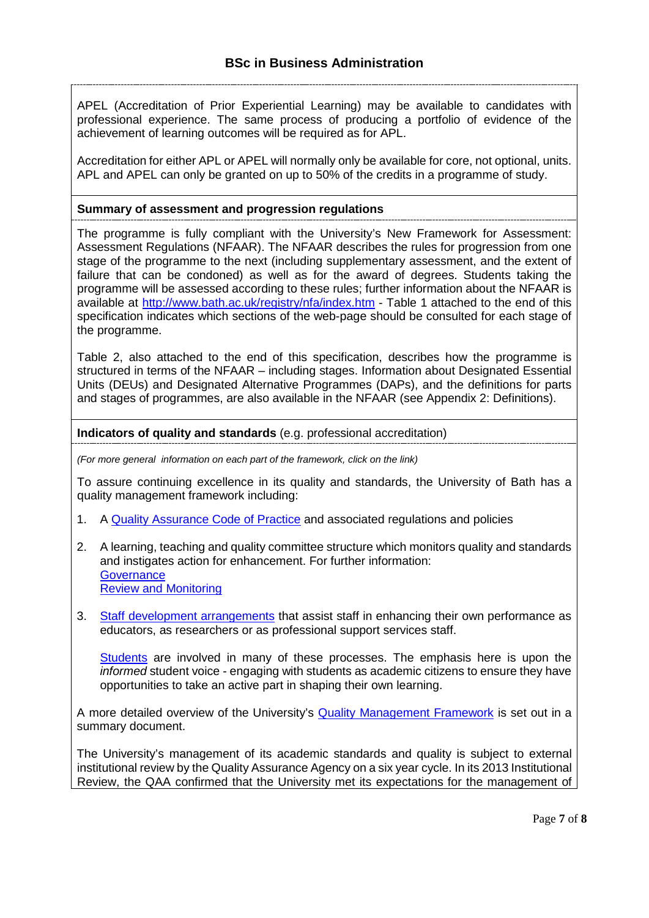APEL (Accreditation of Prior Experiential Learning) may be available to candidates with professional experience. The same process of producing a portfolio of evidence of the achievement of learning outcomes will be required as for APL.

Accreditation for either APL or APEL will normally only be available for core, not optional, units. APL and APEL can only be granted on up to 50% of the credits in a programme of study.

#### **Summary of assessment and progression regulations**

The programme is fully compliant with the University's New Framework for Assessment: Assessment Regulations (NFAAR). The NFAAR describes the rules for progression from one stage of the programme to the next (including supplementary assessment, and the extent of failure that can be condoned) as well as for the award of degrees. Students taking the programme will be assessed according to these rules; further information about the NFAAR is available at<http://www.bath.ac.uk/registry/nfa/index.htm> - Table 1 attached to the end of this specification indicates which sections of the web-page should be consulted for each stage of the programme.

Table 2, also attached to the end of this specification, describes how the programme is structured in terms of the NFAAR – including stages. Information about Designated Essential Units (DEUs) and Designated Alternative Programmes (DAPs), and the definitions for parts and stages of programmes, are also available in the NFAAR (see Appendix 2: Definitions).

**Indicators of quality and standards** (e.g. professional accreditation)

*(For more general information on each part of the framework, click on the link)*

To assure continuing excellence in its quality and standards, the University of Bath has a quality management framework including:

- 1. A [Quality Assurance Code of Practice](http://www.bath.ac.uk/quality/cop/statements.html) and associated regulations and policies
- 2. A learning, teaching and quality committee structure which monitors quality and standards and instigates action for enhancement. For further information: **[Governance](http://www.bath.ac.uk/quality/documents/QA3-PS-Guid-QS-Gov.docx)** [Review and Monitoring](http://www.bath.ac.uk/quality/documents/QA3-PS-Guid-QS-RevMon.docx)
- 3. [Staff development arrangements](http://www.bath.ac.uk/quality/documents/QA3-PS-Guid-QS-ASD.docx) that assist staff in enhancing their own performance as educators, as researchers or as professional support services staff.

[Students](http://www.bath.ac.uk/quality/documents/QA3-PS-Guid-QS-StuVoice.docx) are involved in many of these processes. The emphasis here is upon the *informed* student voice - engaging with students as academic citizens to ensure they have opportunities to take an active part in shaping their own learning.

A more detailed overview of the University's [Quality Management Framework](http://www.bath.ac.uk/quality/documents/approach-to-quality-management.pdf) is set out in a summary document.

The University's management of its academic standards and quality is subject to external institutional review by the [Quality Assurance Agency o](http://www.qaa.ac.uk/)n a six year cycle. In its 2013 Institutional Review, the QAA confirmed that the University met its expectations for the management of